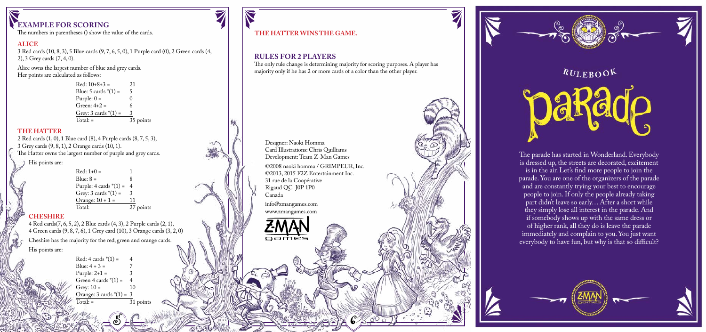## **EXAMPLE FOR SCORING**

The numbers in parentheses () show the value of the cards.

#### **ALICE**

3 Red cards (10, 8, 3), 5 Blue cards (9, 7, 6, 5, 0), 1 Purple card (0), 2 Green cards (4, 2), 3 Grey cards (7, 4, 0).

Alice owns the largest number of blue and grey cards. Her points are calculated as follows:

> Red:  $10+8+3 = 21$ <br>Blue: 5 cards \*(1) = 5 Blue:  $5$  cards  $*(1) =$ Purple:  $0 =$ Green:  $4+2=$ Grey:  $3 \text{ cards }*(1) = 3$ <br>Total:  $= 3$  $\overline{35}$  points

#### **THE HATTER**

2 Red cards (1, 0), 1 Blue card (8), 4 Purple cards (8, 7, 5, 3),  $3$  Grey cards  $(9, 8, 1), 2$  Orange cards  $(10, 1).$ The Hatter owns the largest number of purple and grey cards. His points are:

 $Red: 1+0 =$ <br> $Blue: 8 =$  $Blue: 8 = 8$ Purple: 4 cards \*(1) = 4 Grey:  $3 \text{ cards } * (1) = 3$ <br>Orange:  $10 + 1 = 11$ Orange:  $10 + 1 =$ <br>Total:  $\overline{27}$  points

#### **CHESHIRE**

4 Red cards(7, 6, 5, 2), 2 Blue cards (4, 3), 2 Purple cards (2, 1), 4 Green cards (9, 8, 7, 6), 1 Grey card (10), 3 Orange cards (3, 2, 0) Cheshire has the majority for the red, green and orange cards. His points are:

> $Red: 4$  cards  $*(1) =$  $Blue: 4 + 3 =$ Purple:  $2+1 =$ Green 4 cards  $*(1) = 4$ Grey:  $10 = 10$ Orange: 3 cards  $*(1) = 3$ <br>Total: = 31 points

### **THE HATTER WINS THE GAME.**

## **RULES FOR 2 PLAYERS**

The only rule change is determining majority for scoring purposes. A player has majority only if he has 2 or more cards of a color than the other player.



www.zmangames.com

oamės

 $5 - 6$ 



 $RU$ EBOOK

paRado

The parade has started in Wonderland. Everybody is dressed up, the streets are decorated, excitement is in the air. Let's find more people to join the parade. You are one of the organizers of the parade and are constantly trying your best to encourage people to join. If only the people already taking part didn't leave so early… After a short while they simply lose all interest in the parade. And if somebody shows up with the same dress or of higher rank, all they do is leave the parade immediately and complain to you. You just want everybody to have fun, but why is that so difficult?